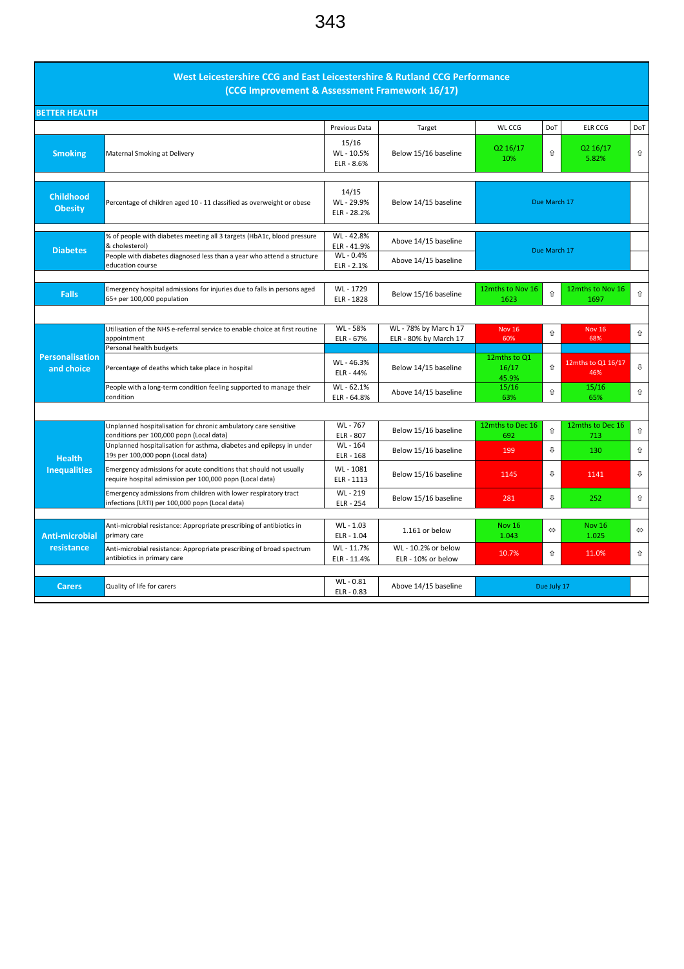## West Leicestershire CCG and East Leicestershire & Rutland CCG Performance (CCG Improvement & Assessment Framework 16/17)

| <b>BETTER HEALTH</b>                 |                                                                                                                               |                                  |                                           |                                |                   |                           |                   |  |  |  |  |  |
|--------------------------------------|-------------------------------------------------------------------------------------------------------------------------------|----------------------------------|-------------------------------------------|--------------------------------|-------------------|---------------------------|-------------------|--|--|--|--|--|
|                                      |                                                                                                                               | Previous Data                    | Target                                    | WL CCG                         | DoT               | <b>ELR CCG</b>            | DoT               |  |  |  |  |  |
| <b>Smoking</b>                       | Maternal Smoking at Delivery                                                                                                  | 15/16<br>WL-10.5%<br>ELR - 8.6%  | Below 15/16 baseline                      | Q2 16/17<br>10%                | ⇧                 | Q2 16/17<br>5.82%         | ⇧                 |  |  |  |  |  |
| <b>Childhood</b><br><b>Obesity</b>   | Percentage of children aged 10 - 11 classified as overweight or obese                                                         | 14/15<br>WL-29.9%<br>ELR - 28.2% | Below 14/15 baseline                      | Due March 17                   |                   |                           |                   |  |  |  |  |  |
| <b>Diabetes</b>                      | % of people with diabetes meeting all 3 targets (HbA1c, blood pressure<br>& cholesterol)                                      | WL-42.8%<br>ELR - 41.9%          | Above 14/15 baseline                      | Due March 17                   |                   |                           |                   |  |  |  |  |  |
|                                      | People with diabetes diagnosed less than a year who attend a structure<br>education course                                    | WL-0.4%<br>ELR - 2.1%            | Above 14/15 baseline                      |                                |                   |                           |                   |  |  |  |  |  |
|                                      |                                                                                                                               |                                  |                                           |                                |                   |                           |                   |  |  |  |  |  |
| <b>Falls</b>                         | Emergency hospital admissions for injuries due to falls in persons aged<br>65+ per 100,000 population                         | WL - 1729<br>ELR - 1828          | Below 15/16 baseline                      | 12mths to Nov 16<br>1623       | 介                 | 12mths to Nov 16<br>1697  | 介                 |  |  |  |  |  |
|                                      |                                                                                                                               |                                  |                                           |                                |                   |                           |                   |  |  |  |  |  |
|                                      | Utilisation of the NHS e-referral service to enable choice at first routine<br>appointment                                    | WL - 58%                         | WL - 78% by Marc h 17                     | <b>Nov 16</b><br>60%           | ⇑                 | <b>Nov 16</b><br>68%      | ⇧                 |  |  |  |  |  |
|                                      | Personal health budgets                                                                                                       | ELR - 67%                        | ELR - 80% by March 17                     |                                |                   |                           |                   |  |  |  |  |  |
| <b>Personalisation</b><br>and choice | Percentage of deaths which take place in hospital                                                                             | WL-46.3%<br>ELR - 44%            | Below 14/15 baseline                      | 12mths to Q1<br>16/17<br>45.9% | ⇑                 | 12mths to Q1 16/17<br>46% | ⇩                 |  |  |  |  |  |
|                                      | People with a long-term condition feeling supported to manage their<br>condition                                              | WL-62.1%<br>ELR - 64.8%          | Above 14/15 baseline                      | 15/16<br>63%                   | ⇧                 | 15/16<br>65%              | ⇧                 |  |  |  |  |  |
|                                      |                                                                                                                               |                                  |                                           |                                |                   |                           |                   |  |  |  |  |  |
|                                      | Unplanned hospitalisation for chronic ambulatory care sensitive<br>conditions per 100,000 popn (Local data)                   | WL-767<br>ELR - 807              | Below 15/16 baseline                      | 12mths to Dec 16<br>692        | 介                 | 12mths to Dec 16<br>713   | 介                 |  |  |  |  |  |
| <b>Health</b>                        | Unplanned hospitalisation for asthma, diabetes and epilepsy in under<br>19s per 100,000 popn (Local data)                     | WL-164<br>ELR - 168              | Below 15/16 baseline                      | 199                            | ſ,                | 130                       | ⇧                 |  |  |  |  |  |
| <b>Inequalities</b>                  | Emergency admissions for acute conditions that should not usually<br>require hospital admission per 100,000 popn (Local data) | WL-1081<br>ELR - 1113            | Below 15/16 baseline                      | 1145                           | ⇩                 | 1141                      | ⇩                 |  |  |  |  |  |
|                                      | Emergency admissions from children with lower respiratory tract<br>infections (LRTI) per 100,000 popn (Local data)            | WL-219<br>ELR - 254              | Below 15/16 baseline                      | 281                            | ⇩                 | 252                       | ⇧                 |  |  |  |  |  |
|                                      |                                                                                                                               |                                  |                                           |                                |                   |                           |                   |  |  |  |  |  |
| Anti-microbial                       | Anti-microbial resistance: Appropriate prescribing of antibiotics in<br>primary care                                          | WL - 1.03<br>ELR - 1.04          | 1.161 or below                            | <b>Nov 16</b><br>1.043         | $\Leftrightarrow$ | <b>Nov 16</b><br>1.025    | $\Leftrightarrow$ |  |  |  |  |  |
| resistance                           | Anti-microbial resistance: Appropriate prescribing of broad spectrum<br>antibiotics in primary care                           | WL-11.7%<br>ELR - 11.4%          | WL - 10.2% or below<br>ELR - 10% or below | 10.7%                          | ⇑                 | 11.0%                     | ⇧                 |  |  |  |  |  |
|                                      |                                                                                                                               |                                  |                                           |                                |                   |                           |                   |  |  |  |  |  |
| <b>Carers</b>                        | Quality of life for carers                                                                                                    | WL-0.81<br>ELR - 0.83            | Above 14/15 baseline                      |                                | Due July 17       |                           |                   |  |  |  |  |  |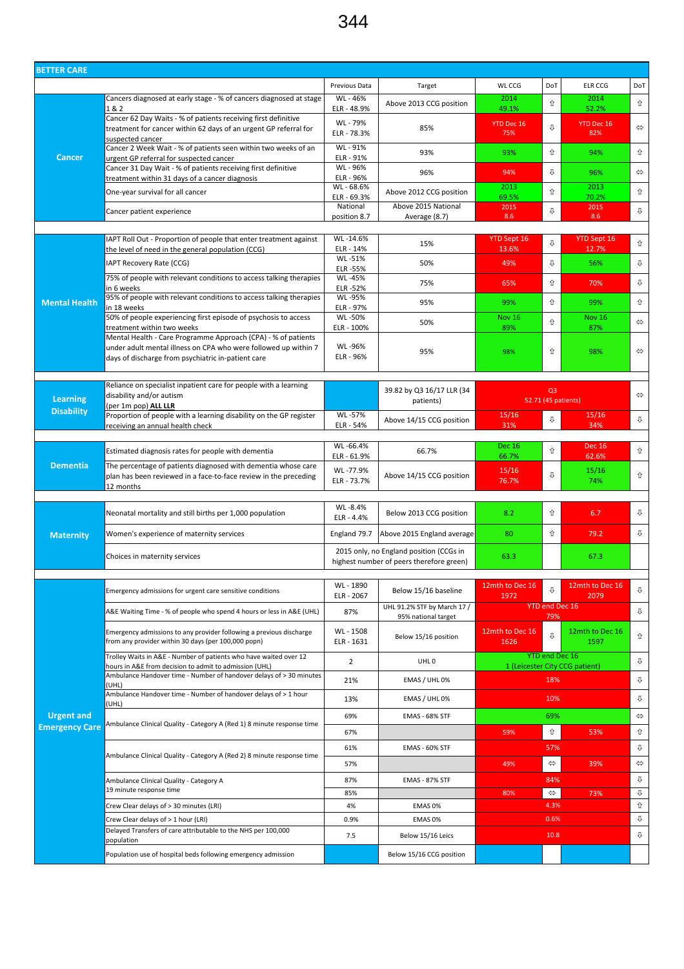344

| <b>BETTER CARE</b>    |                                                                                                                                   |                         |                                          |                         |                                |                          |                   |
|-----------------------|-----------------------------------------------------------------------------------------------------------------------------------|-------------------------|------------------------------------------|-------------------------|--------------------------------|--------------------------|-------------------|
|                       |                                                                                                                                   | Previous Data           | Target                                   | WL CCG                  | DoT                            | <b>ELR CCG</b>           | DoT               |
|                       | Cancers diagnosed at early stage - % of cancers diagnosed at stage                                                                | WL - 46%                | Above 2013 CCG position                  | 2014                    | ⇧                              | 2014                     | ⇧                 |
|                       | 1&2<br>Cancer 62 Day Waits - % of patients receiving first definitive                                                             | ELR - 48.9%<br>WL - 79% |                                          | 49.1%                   |                                | 52.2%                    |                   |
|                       | treatment for cancer within 62 days of an urgent GP referral for                                                                  | ELR - 78.3%             | 85%                                      | YTD Dec 16<br>75%       | ⇩                              | <b>YTD Dec 16</b><br>82% | $\Leftrightarrow$ |
|                       | suspected cancer<br>Cancer 2 Week Wait - % of patients seen within two weeks of an                                                | WL - 91%                |                                          |                         |                                |                          |                   |
| <b>Cancer</b>         | urgent GP referral for suspected cancer                                                                                           | ELR - 91%               | 93%                                      | 93%                     | ⇧                              | 94%                      | ⇧                 |
|                       | Cancer 31 Day Wait - % of patients receiving first definitive<br>treatment within 31 days of a cancer diagnosis                   | WL-96%<br>ELR - 96%     | 96%                                      | 94%                     | ⇩                              | 96%                      | $\Leftrightarrow$ |
|                       | One-year survival for all cancer                                                                                                  | WL-68.6%                | Above 2012 CCG position                  | 2013                    | ⇧                              | 2013                     | ⇧                 |
|                       |                                                                                                                                   | ELR - 69.3%<br>National | Above 2015 National                      | 69.5%<br>2015           | ⇩                              | 70.2%<br>2015            | ⇩                 |
|                       | Cancer patient experience                                                                                                         | position 8.7            | Average (8.7)                            | 8.6                     |                                | 8.6                      |                   |
|                       | IAPT Roll Out - Proportion of people that enter treatment against                                                                 | WL-14.6%                |                                          | YTD Sept 16             |                                | YTD Sept 16              |                   |
|                       | the level of need in the general population (CCG)                                                                                 | ELR - 14%               | 15%                                      | 13.6%                   | ⇩                              | 12.7%                    | ⇧                 |
|                       | IAPT Recovery Rate (CCG)                                                                                                          | WL-51%<br>ELR -55%      | 50%                                      | 49%                     | ⇩                              | 56%                      | ⇩                 |
|                       | 75% of people with relevant conditions to access talking therapies                                                                | WL-45%                  | 75%                                      | 65%                     | ⇧                              | 70%                      | ⇩                 |
|                       | in 6 weeks<br>95% of people with relevant conditions to access talking therapies                                                  | ELR-52%<br>WL-95%       |                                          |                         |                                |                          |                   |
| <b>Mental Health</b>  | in 18 weeks                                                                                                                       | ELR - 97%               | 95%                                      | 99%                     | ⇧                              | 99%                      | ⇧                 |
|                       | 50% of people experiencing first episode of psychosis to access<br>treatment within two weeks                                     | WL-50%<br>ELR - 100%    | 50%                                      | <b>Nov 16</b><br>89%    | ⇧                              | <b>Nov 16</b><br>87%     | ⇔                 |
|                       | Mental Health - Care Programme Approach (CPA) - % of patients                                                                     |                         |                                          |                         |                                |                          |                   |
|                       | under adult mental illness on CPA who were followed up within 7<br>days of discharge from psychiatric in-patient care             | WL-96%<br>ELR - 96%     | 95%                                      | 98%                     | ⇧                              | 98%                      | ⇔                 |
|                       |                                                                                                                                   |                         |                                          |                         |                                |                          |                   |
|                       | Reliance on specialist inpatient care for people with a learning                                                                  |                         |                                          |                         |                                |                          |                   |
| <b>Learning</b>       | disability and/or autism                                                                                                          |                         | 39.82 by Q3 16/17 LLR (34<br>patients)   |                         | Q <sub>3</sub>                 | 52.71 (45 patients)      | $\Leftrightarrow$ |
| <b>Disability</b>     | (per 1m pop) ALL LLR<br>Proportion of people with a learning disability on the GP register                                        | WL-57%                  |                                          | 15/16                   |                                | 15/16                    |                   |
|                       | receiving an annual health check                                                                                                  | ELR - 54%               | Above 14/15 CCG position                 | 31%                     | ⇩                              | 34%                      | ⇩                 |
|                       |                                                                                                                                   | WL-66.4%                |                                          | <b>Dec 16</b>           |                                | <b>Dec 16</b>            |                   |
|                       | Estimated diagnosis rates for people with dementia                                                                                | ELR - 61.9%             | 66.7%                                    | 66.7%                   | ⇧                              | 62.6%                    | ⇧                 |
| <b>Dementia</b>       | The percentage of patients diagnosed with dementia whose care<br>plan has been reviewed in a face-to-face review in the preceding | WL-77.9%                | Above 14/15 CCG position                 | 15/16                   | ⇩                              | 15/16                    | ⇧                 |
|                       | 12 months                                                                                                                         | ELR - 73.7%             |                                          | 76.7%                   |                                | 74%                      |                   |
|                       |                                                                                                                                   | WL-8.4%                 |                                          |                         |                                |                          |                   |
|                       | Neonatal mortality and still births per 1,000 population                                                                          | ELR - 4.4%              | Below 2013 CCG position                  | 8.2                     | ⇧                              | 6.7                      | ⇩                 |
| <b>Maternity</b>      | Women's experience of maternity services                                                                                          | England 79.7            | Above 2015 England average               | 80                      | ⇧                              | 79.2                     | ⇩                 |
|                       |                                                                                                                                   |                         | 2015 only, no England position (CCGs in  |                         |                                |                          |                   |
|                       | Choices in maternity services                                                                                                     |                         | highest number of peers therefore green) | 63.3                    |                                | 67.3                     |                   |
|                       |                                                                                                                                   |                         |                                          |                         |                                |                          |                   |
|                       | Emergency admissions for urgent care sensitive conditions                                                                         | WL-1890<br>ELR - 2067   | Below 15/16 baseline                     | 12mth to Dec 16<br>1972 | ⇩                              | 12mth to Dec 16<br>2079  | ⇩                 |
|                       | A&E Waiting Time - % of people who spend 4 hours or less in A&E (UHL)                                                             | 87%                     | UHL 91.2% STF by March 17 /              |                         |                                | <b>YTD end Dec 16</b>    | ⇩                 |
|                       |                                                                                                                                   |                         | 95% national target                      |                         | 79%                            |                          |                   |
|                       | Emergency admissions to any provider following a previous discharge<br>from any provider within 30 days (per 100,000 popn)        | WL - 1508<br>ELR - 1631 | Below 15/16 position                     | 12mth to Dec 16<br>1626 | 几                              | 12mth to Dec 16<br>1597  | ⇧                 |
|                       | Trolley Waits in A&E - Number of patients who have waited over 12                                                                 |                         |                                          |                         |                                | <b>YTD end Dec 16</b>    |                   |
|                       | hours in A&E from decision to admit to admission (UHL)                                                                            | $\overline{2}$          | UHL <sub>0</sub>                         |                         | 1 (Leicester City CCG patient) | ⇩                        |                   |
|                       | Ambulance Handover time - Number of handover delays of > 30 minutes<br>(UHL)                                                      | 21%                     | EMAS / UHL 0%                            |                         | 18%                            |                          | ⇩                 |
|                       | Ambulance Handover time - Number of handover delays of > 1 hour                                                                   | 13%                     | EMAS / UHL 0%                            |                         | 10%                            |                          | ⇩                 |
| <b>Urgent and</b>     | (UHL)                                                                                                                             | 69%                     | <b>EMAS - 68% STF</b>                    |                         | 69%                            |                          | ⇔                 |
| <b>Emergency Care</b> | Ambulance Clinical Quality - Category A (Red 1) 8 minute response time                                                            |                         |                                          |                         |                                |                          |                   |
|                       |                                                                                                                                   | 67%                     |                                          | 59%                     | ⇧                              | 53%                      | ⇧                 |
|                       | Ambulance Clinical Quality - Category A (Red 2) 8 minute response time                                                            | 61%                     | <b>EMAS - 60% STF</b>                    |                         | 57%                            |                          | ⇩                 |
|                       |                                                                                                                                   | 57%                     |                                          | 49%                     | $\Leftrightarrow$              | 39%                      | $\Leftrightarrow$ |
|                       | Ambulance Clinical Quality - Category A<br>19 minute response time                                                                | 87%                     | <b>EMAS - 87% STF</b>                    |                         | 84%                            |                          | ⇩                 |
|                       | Crew Clear delays of > 30 minutes (LRI)                                                                                           | 85%<br>4%               | EMAS 0%                                  | 80%                     | $\Leftrightarrow$<br>4.3%      | 73%                      | ⇩<br>⇧            |
|                       | Crew Clear delays of > 1 hour (LRI)                                                                                               | 0.9%                    | EMAS 0%                                  |                         | 0.6%                           |                          | ⇩                 |
|                       | Delayed Transfers of care attributable to the NHS per 100,000                                                                     | 7.5                     | Below 15/16 Leics                        |                         | 10.8                           |                          | ⇩                 |
|                       | population                                                                                                                        |                         |                                          |                         |                                |                          |                   |
|                       | Population use of hospital beds following emergency admission                                                                     |                         | Below 15/16 CCG position                 |                         |                                |                          |                   |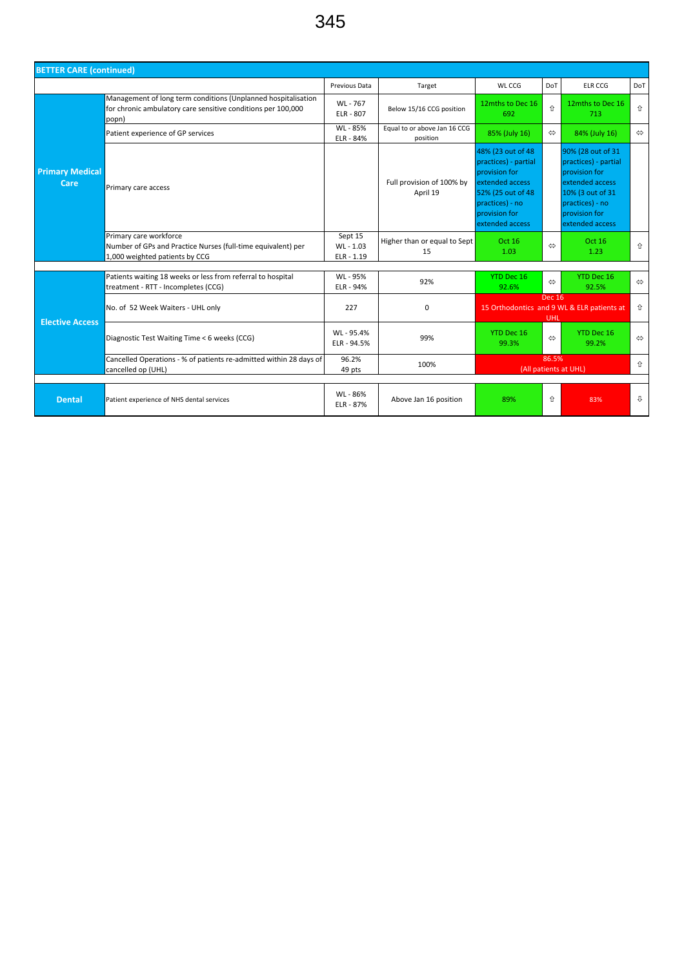| <b>BETTER CARE (continued)</b> |                                                                                                                                        |                                  |                                          |                                                                                                                                                           |                      |                                                                                                                                                          |                   |  |  |  |
|--------------------------------|----------------------------------------------------------------------------------------------------------------------------------------|----------------------------------|------------------------------------------|-----------------------------------------------------------------------------------------------------------------------------------------------------------|----------------------|----------------------------------------------------------------------------------------------------------------------------------------------------------|-------------------|--|--|--|
|                                |                                                                                                                                        | Previous Data                    | Target                                   | WL CCG                                                                                                                                                    | <b>DoT</b>           | <b>ELR CCG</b>                                                                                                                                           | DoT               |  |  |  |
|                                | Management of long term conditions (Unplanned hospitalisation<br>for chronic ambulatory care sensitive conditions per 100,000<br>popn) | WL-767<br>ELR - 807              | Below 15/16 CCG position                 | 12mths to Dec 16<br>692                                                                                                                                   | ⇑                    | 12mths to Dec 16<br>713                                                                                                                                  | 介                 |  |  |  |
|                                | Patient experience of GP services                                                                                                      | WL - 85%<br>ELR - 84%            | Equal to or above Jan 16 CCG<br>position | 85% (July 16)                                                                                                                                             | $\Leftrightarrow$    | 84% (July 16)                                                                                                                                            | $\Leftrightarrow$ |  |  |  |
| <b>Primary Medical</b><br>Care | Primary care access                                                                                                                    |                                  | Full provision of 100% by<br>April 19    | 48% (23 out of 48<br>practices) - partial<br>provision for<br>extended access<br>52% (25 out of 48<br>practices) - no<br>provision for<br>extended access |                      | 90% (28 out of 31<br>practices) - partial<br>provision for<br>extended access<br>10% (3 out of 31<br>practices) - no<br>provision for<br>extended access |                   |  |  |  |
|                                | Primary care workforce<br>Number of GPs and Practice Nurses (full-time equivalent) per<br>1,000 weighted patients by CCG               | Sept 15<br>WL-1.03<br>ELR - 1.19 | Higher than or equal to Sept<br>15       | Oct 16<br>1.03                                                                                                                                            | $\Leftrightarrow$    | Oct 16<br>1.23                                                                                                                                           | 介                 |  |  |  |
|                                | Patients waiting 18 weeks or less from referral to hospital<br>treatment - RTT - Incompletes (CCG)                                     | WL - 95%<br>ELR - 94%            | 92%                                      | YTD Dec 16<br>92.6%                                                                                                                                       | $\Leftrightarrow$    | YTD Dec 16<br>92.5%                                                                                                                                      | $\Leftrightarrow$ |  |  |  |
| <b>Elective Access</b>         | No. of 52 Week Waiters - UHL only                                                                                                      | 227                              | $\Omega$                                 |                                                                                                                                                           | <b>Dec 16</b><br>UHL | 15 Orthodontics and 9 WL & ELR patients at                                                                                                               | $\hat{v}$         |  |  |  |
|                                | Diagnostic Test Waiting Time < 6 weeks (CCG)                                                                                           | WL-95.4%<br>ELR - 94.5%          | 99%                                      | YTD Dec 16<br>99.3%                                                                                                                                       | $\Leftrightarrow$    | YTD Dec 16<br>99.2%                                                                                                                                      | $\Leftrightarrow$ |  |  |  |
|                                | Cancelled Operations - % of patients re-admitted within 28 days of<br>cancelled op (UHL)                                               | 96.2%<br>49 pts                  | 100%                                     | 86.5%<br>(All patients at UHL)                                                                                                                            |                      |                                                                                                                                                          |                   |  |  |  |
| <b>Dental</b>                  | Patient experience of NHS dental services                                                                                              | WL - 86%<br><b>ELR - 87%</b>     | Above Jan 16 position                    | 89%                                                                                                                                                       | ⇑                    | 83%                                                                                                                                                      | ⇩                 |  |  |  |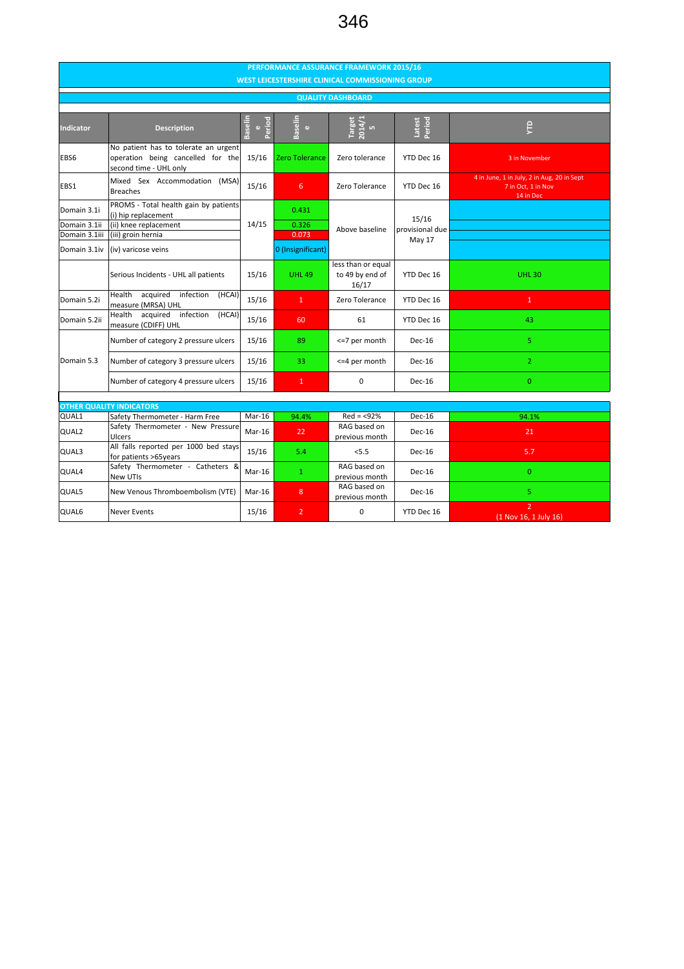## 346

| PERFORMANCE ASSURANCE FRAMEWORK 2015/16<br><b>WEST LEICESTERSHIRE CLINICAL COMMISSIONING GROUP</b> |                                                                                                                                    |        |                                              |                                                |                                    |                                                                               |  |  |  |  |  |  |
|----------------------------------------------------------------------------------------------------|------------------------------------------------------------------------------------------------------------------------------------|--------|----------------------------------------------|------------------------------------------------|------------------------------------|-------------------------------------------------------------------------------|--|--|--|--|--|--|
| <b>QUALITY DASHBOARD</b>                                                                           |                                                                                                                                    |        |                                              |                                                |                                    |                                                                               |  |  |  |  |  |  |
| <b>Indicator</b>                                                                                   | <b>Baselin</b><br>Period<br>$\omega$<br><b>Description</b>                                                                         |        | Baselin<br>$\pmb{\omega}$                    | 2014/1<br><b>Target</b>                        | Period<br>Latest                   | Ê                                                                             |  |  |  |  |  |  |
| EBS6                                                                                               | No patient has to tolerate an urgent<br>operation being cancelled for the<br>second time - UHL only                                | 15/16  | Zero Tolerance                               | Zero tolerance                                 | YTD Dec 16                         | 3 in November                                                                 |  |  |  |  |  |  |
| EBS1                                                                                               | Mixed Sex Accommodation (MSA)<br><b>Breaches</b>                                                                                   | 15/16  | 6                                            | Zero Tolerance                                 | YTD Dec 16                         | 4 in June, 1 in July, 2 in Aug, 20 in Sept<br>7 in Oct, 1 in Nov<br>14 in Dec |  |  |  |  |  |  |
| Domain 3.1i<br>Domain 3.1ii<br>Domain 3.1iii<br>Domain 3.1iv                                       | PROMS - Total health gain by patients<br>(i) hip replacement<br>(ii) knee replacement<br>(iii) groin hernia<br>(iv) varicose veins | 14/15  | 0.431<br>0.326<br>0.073<br>0 (Insignificant) | Above baseline                                 | 15/16<br>provisional due<br>May 17 |                                                                               |  |  |  |  |  |  |
|                                                                                                    | Serious Incidents - UHL all patients                                                                                               | 15/16  | <b>UHL 49</b>                                | less than or equal<br>to 49 by end of<br>16/17 | YTD Dec 16                         | <b>UHL30</b>                                                                  |  |  |  |  |  |  |
| Domain 5.2i                                                                                        | Health acquired infection<br>(HCAI)<br>measure (MRSA) UHL                                                                          | 15/16  | $\mathbf{1}$                                 | Zero Tolerance                                 | YTD Dec 16                         | $\mathbf{1}$                                                                  |  |  |  |  |  |  |
| Domain 5.2ii                                                                                       | Health acquired infection<br>(HCAI)<br>measure (CDIFF) UHL                                                                         | 15/16  | 60                                           | 61                                             | YTD Dec 16                         | 43                                                                            |  |  |  |  |  |  |
|                                                                                                    | Number of category 2 pressure ulcers                                                                                               | 15/16  | 89                                           | <= 7 per month                                 | Dec-16                             | 5                                                                             |  |  |  |  |  |  |
| Domain 5.3                                                                                         | Number of category 3 pressure ulcers                                                                                               | 15/16  | 33                                           | <= 4 per month                                 | Dec-16                             | 2 <sup>1</sup>                                                                |  |  |  |  |  |  |
|                                                                                                    | Number of category 4 pressure ulcers                                                                                               | 15/16  | $\mathbf{1}$                                 | $\Omega$                                       | Dec-16                             | $\overline{0}$                                                                |  |  |  |  |  |  |
|                                                                                                    | <b>OTHER QUALITY INDICATORS</b>                                                                                                    |        |                                              |                                                |                                    |                                                                               |  |  |  |  |  |  |
| QUAL1                                                                                              | Safety Thermometer - Harm Free                                                                                                     | Mar-16 | 94.4%                                        | $Red = < 92%$                                  | Dec-16                             | 94.1%                                                                         |  |  |  |  |  |  |
| QUAL2                                                                                              | Safety Thermometer - New Pressure<br><b>Ulcers</b>                                                                                 | Mar-16 | 22                                           | RAG based on<br>previous month                 | Dec-16                             | 21                                                                            |  |  |  |  |  |  |
| QUAL3                                                                                              | All falls reported per 1000 bed stays<br>for patients >65years                                                                     | 15/16  | 5.4                                          | < 5.5                                          | Dec-16                             | 5.7                                                                           |  |  |  |  |  |  |
| QUAL4                                                                                              | Safety Thermometer - Catheters &<br>New UTIs                                                                                       | Mar-16 | $\mathbf{1}$                                 | RAG based on<br>previous month                 | Dec-16                             | $\overline{0}$                                                                |  |  |  |  |  |  |
| QUAL5                                                                                              | New Venous Thromboembolism (VTE)                                                                                                   | Mar-16 | 8                                            | RAG based on<br>previous month                 | Dec-16                             | 5.                                                                            |  |  |  |  |  |  |
| QUAL6                                                                                              | <b>Never Events</b>                                                                                                                | 15/16  | $\overline{2}$                               | $\mathbf 0$                                    | YTD Dec 16                         | $\overline{2}$<br>(1 Nov 16, 1 July 16)                                       |  |  |  |  |  |  |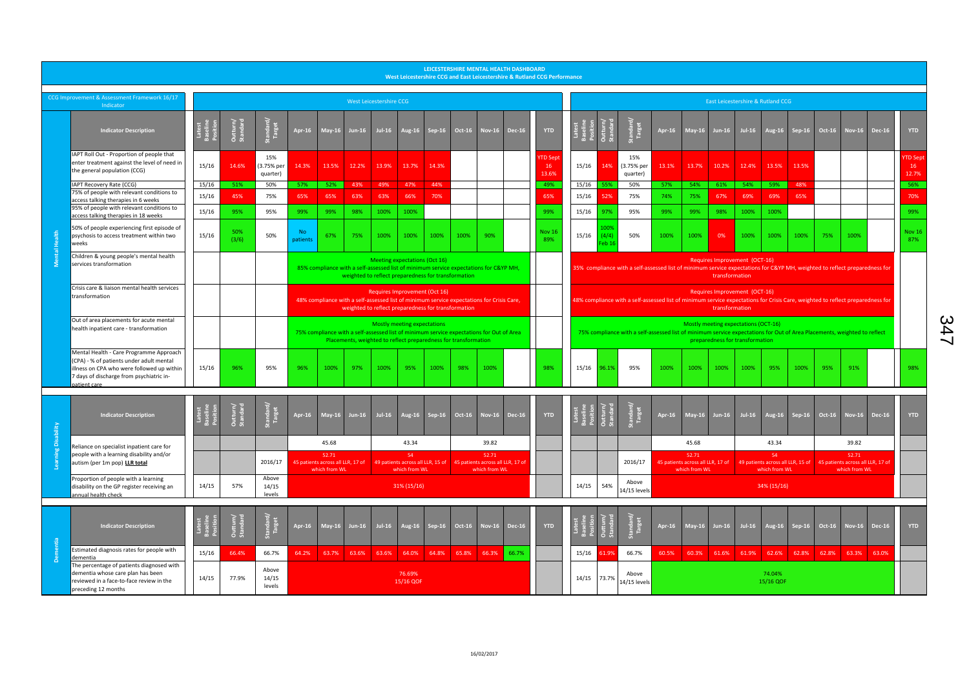|   | LEICESTERSHIRE MENTAL HEALTH DASHBOARD<br>West Leicestershire CCG and East Leicestershire & Rutland CCG Performance                                                                           |                                |                      |                               |                                                                                                                                                                                            |                                                                                                                                                                                   |               |                         |                                                                                             |          |        |                        |               |                                                                                                                                                                                                     |                                                                                                                                                                                   |                        |                               |               |                                                                                               |               |               |                     |          |        |                                                             |       |                               |
|---|-----------------------------------------------------------------------------------------------------------------------------------------------------------------------------------------------|--------------------------------|----------------------|-------------------------------|--------------------------------------------------------------------------------------------------------------------------------------------------------------------------------------------|-----------------------------------------------------------------------------------------------------------------------------------------------------------------------------------|---------------|-------------------------|---------------------------------------------------------------------------------------------|----------|--------|------------------------|---------------|-----------------------------------------------------------------------------------------------------------------------------------------------------------------------------------------------------|-----------------------------------------------------------------------------------------------------------------------------------------------------------------------------------|------------------------|-------------------------------|---------------|-----------------------------------------------------------------------------------------------|---------------|---------------|---------------------|----------|--------|-------------------------------------------------------------|-------|-------------------------------|
|   | CCG Improvement & Assessment Framework 16/17<br>Indicator                                                                                                                                     |                                |                      |                               |                                                                                                                                                                                            |                                                                                                                                                                                   |               | West Leicestershire CCG |                                                                                             |          |        |                        |               |                                                                                                                                                                                                     | East Leicestershire & Rutland CCG                                                                                                                                                 |                        |                               |               |                                                                                               |               |               |                     |          |        |                                                             |       |                               |
|   | <b>Indicator Description</b>                                                                                                                                                                  | Latest<br>Baseline<br>Positior | Outturn/<br>Standard |                               | Apr-16                                                                                                                                                                                     | <b>May-16</b>                                                                                                                                                                     | <b>Jun-16</b> | Jul-16                  | <b>Aug-16</b>                                                                               | Sep-16   | Oct-16 | <b>Nov-16</b>          | <b>Dec-16</b> | <b>YTD</b>                                                                                                                                                                                          |                                                                                                                                                                                   |                        | Standard<br>Target            | <b>Apr-16</b> | May-16                                                                                        | <b>Jun-16</b> | $Jul-16$      | Aug-16              | $Sep-16$ | Oct-16 | Nov-16 Dec-16                                               |       | <b>YTD</b>                    |
|   | IAPT Roll Out - Proportion of people that<br>enter treatment against the level of need in<br>the general population (CCG)                                                                     | 15/16                          | 14.6%                | 15%<br>(3.75% per<br>quarter) | 14.3%                                                                                                                                                                                      | 13.5%                                                                                                                                                                             | 12.2%         | 13.9%                   | 13.7%                                                                                       | 14.3%    |        |                        |               | <b>YTD Sept</b><br>16<br>13.6%                                                                                                                                                                      | 15/16                                                                                                                                                                             | 14%                    | 15%<br>(3.75% per<br>quarter) | 13.1%         | 13.7%                                                                                         | 10.2%         | 12.4%         | 13.5%               | 13.5%    |        |                                                             |       | <b>YTD Sep</b><br>16<br>12.7% |
|   | IAPT Recovery Rate (CCG)<br>75% of people with relevant conditions to                                                                                                                         | 15/16                          | 51%                  | 50%                           | 57%                                                                                                                                                                                        | 52%                                                                                                                                                                               | 43%           | 49%                     | 47%                                                                                         | 44%      |        |                        |               | 49%                                                                                                                                                                                                 | 15/16                                                                                                                                                                             | 55%                    | 50%                           | 57%           | 54%                                                                                           | 61%           | $54\%$        | 59%                 | 48%      |        |                                                             |       | 56%                           |
|   | access talking therapies in 6 weeks                                                                                                                                                           | 15/16                          | 45%                  | 75%                           | 65%                                                                                                                                                                                        | 65%                                                                                                                                                                               | 63%           | 63%                     | 66%                                                                                         | 70%      |        |                        |               | 65%                                                                                                                                                                                                 | 15/16                                                                                                                                                                             | 52%                    | 75%                           | 74%           | 75%                                                                                           | 67%           | 69%           | 69%                 | 65%      |        |                                                             |       | 70%                           |
|   | 95% of people with relevant conditions to<br>access talking therapies in 18 weeks                                                                                                             | 15/16                          | 95%                  | 95%                           | 99%                                                                                                                                                                                        | 99%                                                                                                                                                                               | 98%           | 100%                    | 100%                                                                                        |          |        |                        |               | 99%                                                                                                                                                                                                 | 15/16                                                                                                                                                                             | 97%                    | 95%                           | 99%           | 99%                                                                                           | 98%           | 100%          | 100%                |          |        |                                                             |       | 99%                           |
|   | 50% of people experiencing first episode of<br>psychosis to access treatment within two<br>weeks                                                                                              | 15/16                          | 50%<br>(3/6)         | 50%                           | No.<br>patients                                                                                                                                                                            | 67%                                                                                                                                                                               | 75%           | 100%                    | 100%                                                                                        | 100%     | 100%   | 90%                    |               | Nov 16<br>89%                                                                                                                                                                                       | 15/16                                                                                                                                                                             | .00%<br>(4/4)<br>eb 10 | 50%                           | 100%          | 100%                                                                                          | 0%            | 100%          | 100%                | 100%     | 75%    | 100%                                                        |       | <b>Nov 16</b><br>87%          |
|   | Children & young people's mental health<br>services transformation                                                                                                                            |                                |                      |                               |                                                                                                                                                                                            | 85% compliance with a self-assessed list of minimum service expectations for C&YP MH,                                                                                             |               |                         | <b>Meeting expectations (Oct 16)</b><br>weighted to reflect preparedness for transformation |          |        |                        |               |                                                                                                                                                                                                     | Requires Improvement (OCT-16)<br>35% compliance with a self-assessed list of minimum service expectations for C&YP MH, weighted to reflect preparedness for<br>transformation     |                        |                               |               |                                                                                               |               |               |                     |          |        |                                                             |       |                               |
|   | Crisis care & liaison mental health services<br>transformation                                                                                                                                |                                |                      |                               |                                                                                                                                                                                            | Requires Improvement (Oct 16)<br>48% compliance with a self-assessed list of minimum service expectations for Crisis Care,<br>weighted to reflect preparedness for transformation |               |                         |                                                                                             |          |        |                        |               |                                                                                                                                                                                                     | Requires Improvement (OCT-16)<br>48% compliance with a self-assessed list of minimum service expectations for Crisis Care, weighted to reflect preparedness for<br>transformation |                        |                               |               |                                                                                               |               |               |                     |          |        |                                                             |       |                               |
|   | Out of area placements for acute mental<br>health inpatient care - transformation                                                                                                             |                                |                      |                               | Mostly meeting expectations<br>75% compliance with a self-assessed list of minimum service expectations for Out of Area<br>Placements, weighted to reflect preparedness for transformation |                                                                                                                                                                                   |               |                         |                                                                                             |          |        |                        |               | Mostly meeting expectations (OCT-16)<br>75% compliance with a self-assessed list of minimum service expectations for Out of Area Placements, weighted to reflect<br>preparedness for transformation |                                                                                                                                                                                   |                        |                               |               |                                                                                               |               |               |                     |          |        |                                                             |       |                               |
|   | Mental Health - Care Programme Approach<br>(CPA) - % of patients under adult mental<br>illness on CPA who were followed up within<br>7 days of discharge from psychiatric in-<br>patient care | 15/16                          | 96%                  | 95%                           | 96%                                                                                                                                                                                        | 100%                                                                                                                                                                              | 97%           | 100%                    | 95%                                                                                         | 100%     | 98%    | 100%                   |               | 98%                                                                                                                                                                                                 |                                                                                                                                                                                   | 15/16 96.1%            | 95%                           | 100%          | 100%                                                                                          | 100%          | 100%          | 95%                 | 100%     | 95%    | 91%                                                         |       | 98%                           |
|   | <b>Indicator Description</b>                                                                                                                                                                  | Latest<br>Baselin<br>Positio   | Outturn/<br>Standard | Standard/<br>Target           | Apr-16                                                                                                                                                                                     | $May-16$                                                                                                                                                                          | $Jun-16$      | $Jul-16$                | Aug-16                                                                                      | $Sep-16$ | Oct-16 | <b>Nov-16</b>          | <b>Dec-16</b> | <b>YTD</b>                                                                                                                                                                                          |                                                                                                                                                                                   |                        | Standard<br>Target            | Apr-16        | <b>May-16</b>                                                                                 | <b>Jun-16</b> | <b>Jul-16</b> | Aug-16              | $Sep-16$ | Oct-16 | Nov-16 Dec-16                                               |       | <b>YTD</b>                    |
| ä | Reliance on specialist inpatient care for                                                                                                                                                     |                                |                      |                               |                                                                                                                                                                                            | 45.68                                                                                                                                                                             |               |                         | 43.34                                                                                       |          |        | 39.82                  |               |                                                                                                                                                                                                     |                                                                                                                                                                                   |                        |                               |               | 45.68                                                                                         |               |               | 43.34               |          |        | 39.82                                                       |       |                               |
|   | people with a learning disability and/or<br>autism (per 1m pop) LLR total                                                                                                                     |                                |                      | 2016/17                       |                                                                                                                                                                                            | 52.71<br>45 patients across all LLR, 17 of<br>which from WL                                                                                                                       |               |                         | 54<br>49 patients across all LLR, 15 of 45 patients across all LLR, 17 of<br>which from WL  |          |        | 52.71<br>which from WL |               |                                                                                                                                                                                                     |                                                                                                                                                                                   |                        | 2016/17                       |               | 52.71<br>45 patients across all LLR, 17 of 49 patients across all LLR, 15 of<br>which from WL |               |               | 54<br>which from WL |          |        | 52.71<br>45 patients across all LLR, 17 of<br>which from WL |       |                               |
|   | Proportion of people with a learning<br>disability on the GP register receiving an<br>annual health check                                                                                     | 14/15                          | 57%                  | Above<br>14/15<br>levels      |                                                                                                                                                                                            |                                                                                                                                                                                   |               |                         | 31% (15/16)                                                                                 |          |        |                        |               |                                                                                                                                                                                                     | 14/15                                                                                                                                                                             | 54%                    | Above<br>14/15 levels         |               |                                                                                               |               |               | 34% (15/16)         |          |        |                                                             |       |                               |
|   | <b>Indicator Description</b>                                                                                                                                                                  | later<br>Base                  | Outturn/<br>Standarc | andard <sub>/</sub><br>Target | Apr-16                                                                                                                                                                                     | $May-16$                                                                                                                                                                          | $Jun-16$      | $Jul-16$                | Aug-16                                                                                      | $Sep-16$ | Oct-16 | <b>Nov-16</b>          | <b>Dec-16</b> | <b>YTD</b>                                                                                                                                                                                          |                                                                                                                                                                                   |                        | andarc<br>Target              | <b>Apr-16</b> | <b>May-16</b>                                                                                 | Jun-16        | Jul-16        | Aug-16              | $Sep-16$ | Oct-16 | Nov-16 Dec-16                                               |       | <b>YTD</b>                    |
|   | Estimated diagnosis rates for people with<br>dementia                                                                                                                                         | 15/16                          | 66.4%                | 66.7%                         | 64.2%                                                                                                                                                                                      | 63.7%                                                                                                                                                                             | 63.6%         | 63.6%                   | 64.0%                                                                                       | 64.8%    | 65.8%  | 66.3%                  | 66.7%         |                                                                                                                                                                                                     | 15/16                                                                                                                                                                             | 51.99                  | 66.7%                         | 60.5%         | 60.3%                                                                                         | 61.6%         | 61.9%         | 62.6%               | 62.8%    | 62.8%  | 63.3%                                                       | 63.0% |                               |
|   | The percentage of patients diagnosed with<br>dementia whose care plan has been<br>reviewed in a face-to-face review in the<br>preceding 12 months                                             | 14/15                          | 77.9%                | Above<br>14/15<br>levels      |                                                                                                                                                                                            |                                                                                                                                                                                   |               |                         | 76.69%<br>15/16 QOF                                                                         |          |        |                        |               |                                                                                                                                                                                                     |                                                                                                                                                                                   | 14/15 73.7%            | Above<br>14/15 levels         |               |                                                                                               |               |               | 74.04%<br>15/16 QOF |          |        |                                                             |       |                               |